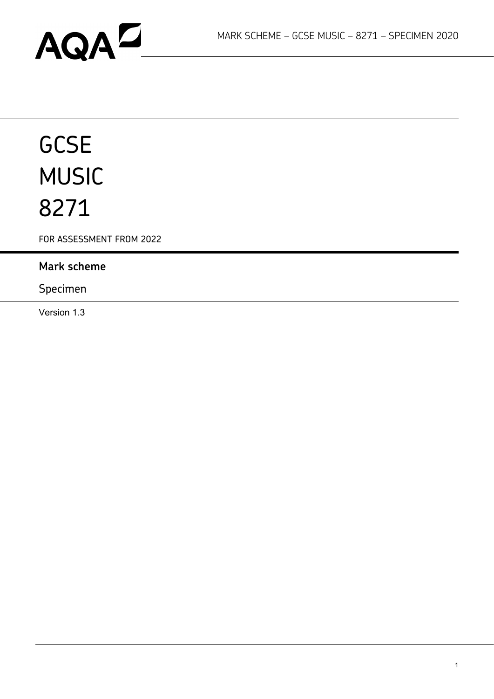# AQAD

# **GCSE** MUSIC 8271

FOR ASSESSMENT FROM 2022

## **Mark scheme**

## Specimen

Version 1.3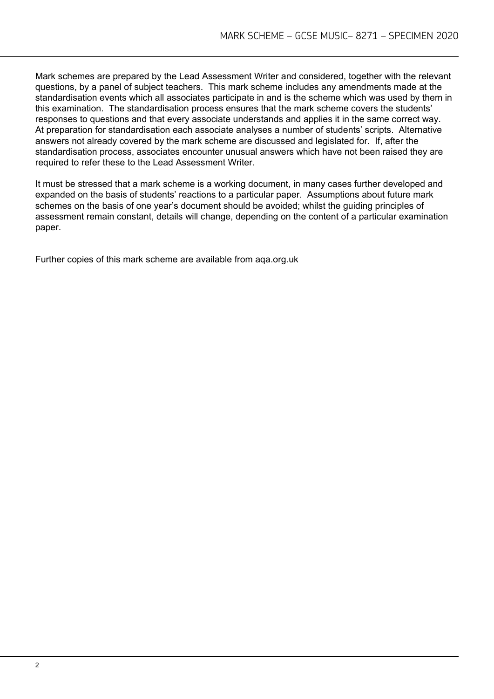Mark schemes are prepared by the Lead Assessment Writer and considered, together with the relevant questions, by a panel of subject teachers. This mark scheme includes any amendments made at the standardisation events which all associates participate in and is the scheme which was used by them in this examination. The standardisation process ensures that the mark scheme covers the students' responses to questions and that every associate understands and applies it in the same correct way. At preparation for standardisation each associate analyses a number of students' scripts. Alternative answers not already covered by the mark scheme are discussed and legislated for. If, after the standardisation process, associates encounter unusual answers which have not been raised they are required to refer these to the Lead Assessment Writer.

It must be stressed that a mark scheme is a working document, in many cases further developed and expanded on the basis of students' reactions to a particular paper. Assumptions about future mark schemes on the basis of one year's document should be avoided; whilst the guiding principles of assessment remain constant, details will change, depending on the content of a particular examination paper.

Further copies of this mark scheme are available from aqa.org.uk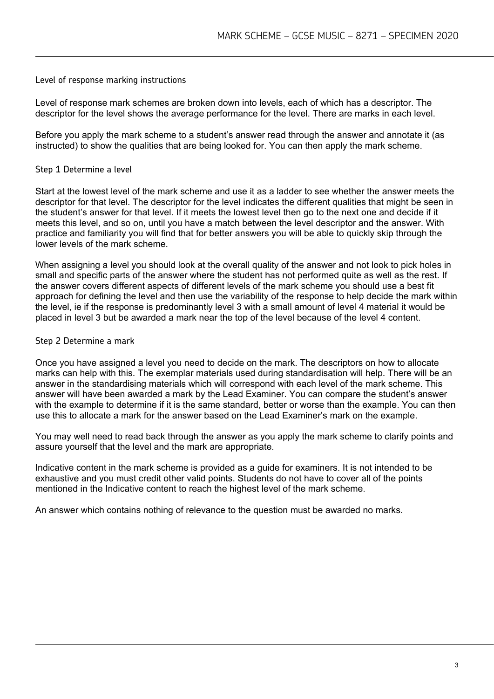#### Level of response marking instructions

Level of response mark schemes are broken down into levels, each of which has a descriptor. The descriptor for the level shows the average performance for the level. There are marks in each level.

Before you apply the mark scheme to a student's answer read through the answer and annotate it (as instructed) to show the qualities that are being looked for. You can then apply the mark scheme.

#### Step 1 Determine a level

Start at the lowest level of the mark scheme and use it as a ladder to see whether the answer meets the descriptor for that level. The descriptor for the level indicates the different qualities that might be seen in the student's answer for that level. If it meets the lowest level then go to the next one and decide if it meets this level, and so on, until you have a match between the level descriptor and the answer. With practice and familiarity you will find that for better answers you will be able to quickly skip through the lower levels of the mark scheme.

When assigning a level you should look at the overall quality of the answer and not look to pick holes in small and specific parts of the answer where the student has not performed quite as well as the rest. If the answer covers different aspects of different levels of the mark scheme you should use a best fit approach for defining the level and then use the variability of the response to help decide the mark within the level, ie if the response is predominantly level 3 with a small amount of level 4 material it would be placed in level 3 but be awarded a mark near the top of the level because of the level 4 content.

#### Step 2 Determine a mark

Once you have assigned a level you need to decide on the mark. The descriptors on how to allocate marks can help with this. The exemplar materials used during standardisation will help. There will be an answer in the standardising materials which will correspond with each level of the mark scheme. This answer will have been awarded a mark by the Lead Examiner. You can compare the student's answer with the example to determine if it is the same standard, better or worse than the example. You can then use this to allocate a mark for the answer based on the Lead Examiner's mark on the example.

You may well need to read back through the answer as you apply the mark scheme to clarify points and assure yourself that the level and the mark are appropriate.

Indicative content in the mark scheme is provided as a guide for examiners. It is not intended to be exhaustive and you must credit other valid points. Students do not have to cover all of the points mentioned in the Indicative content to reach the highest level of the mark scheme.

An answer which contains nothing of relevance to the question must be awarded no marks.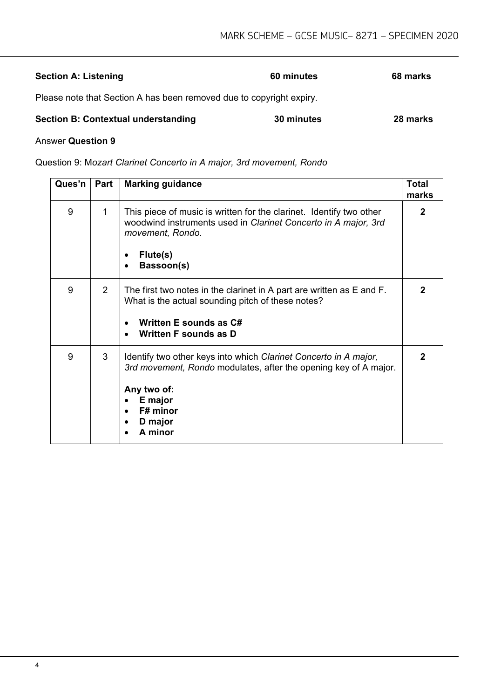| <b>Section A: Listening</b>                                          | 60 minutes | 68 marks |
|----------------------------------------------------------------------|------------|----------|
| Please note that Section A has been removed due to copyright expiry. |            |          |
| <b>Section B: Contextual understanding</b>                           | 30 minutes | 28 marks |

#### Answer **Question 9**

Question 9: M*ozart Clarinet Concerto in A major, 3rd movement, Rondo*

| Ques'n | Part           | <b>Marking guidance</b>                                                                                                                                                                          | <b>Total</b><br>marks |
|--------|----------------|--------------------------------------------------------------------------------------------------------------------------------------------------------------------------------------------------|-----------------------|
| 9      | $\mathbf{1}$   | This piece of music is written for the clarinet. Identify two other<br>woodwind instruments used in Clarinet Concerto in A major, 3rd<br>movement, Rondo.<br>Flute(s)<br>$\bullet$<br>Bassoon(s) | 2                     |
| 9      | $\overline{2}$ | The first two notes in the clarinet in A part are written as E and F.<br>What is the actual sounding pitch of these notes?<br>Written E sounds as C#<br>Written F sounds as D                    | 2                     |
| 9      | 3              | Identify two other keys into which Clarinet Concerto in A major,<br>3rd movement, Rondo modulates, after the opening key of A major.<br>Any two of:<br>E major<br>F# minor<br>D major<br>A minor | 2                     |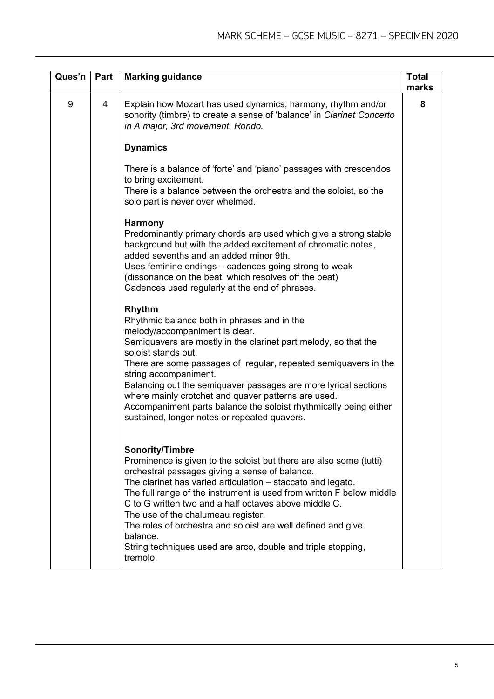| Ques'n | Part           | <b>Marking guidance</b>                                                                                                                                                                                                                                                                                                                                                                                                                                                                                                                      | <b>Total</b><br>marks |
|--------|----------------|----------------------------------------------------------------------------------------------------------------------------------------------------------------------------------------------------------------------------------------------------------------------------------------------------------------------------------------------------------------------------------------------------------------------------------------------------------------------------------------------------------------------------------------------|-----------------------|
| 9      | $\overline{4}$ | Explain how Mozart has used dynamics, harmony, rhythm and/or<br>sonority (timbre) to create a sense of 'balance' in Clarinet Concerto<br>in A major, 3rd movement, Rondo.                                                                                                                                                                                                                                                                                                                                                                    | 8                     |
|        |                | <b>Dynamics</b>                                                                                                                                                                                                                                                                                                                                                                                                                                                                                                                              |                       |
|        |                | There is a balance of 'forte' and 'piano' passages with crescendos<br>to bring excitement.<br>There is a balance between the orchestra and the soloist, so the<br>solo part is never over whelmed.                                                                                                                                                                                                                                                                                                                                           |                       |
|        |                | <b>Harmony</b><br>Predominantly primary chords are used which give a strong stable<br>background but with the added excitement of chromatic notes,<br>added sevenths and an added minor 9th.<br>Uses feminine endings – cadences going strong to weak<br>(dissonance on the beat, which resolves off the beat)<br>Cadences used regularly at the end of phrases.                                                                                                                                                                             |                       |
|        |                | Rhythm<br>Rhythmic balance both in phrases and in the<br>melody/accompaniment is clear.<br>Semiquavers are mostly in the clarinet part melody, so that the<br>soloist stands out.<br>There are some passages of regular, repeated semiquavers in the<br>string accompaniment.<br>Balancing out the semiquaver passages are more lyrical sections<br>where mainly crotchet and quaver patterns are used.<br>Accompaniment parts balance the soloist rhythmically being either<br>sustained, longer notes or repeated quavers.                 |                       |
|        |                | <b>Sonority/Timbre</b><br>Prominence is given to the soloist but there are also some (tutti)<br>orchestral passages giving a sense of balance.<br>The clarinet has varied articulation - staccato and legato.<br>The full range of the instrument is used from written F below middle<br>C to G written two and a half octaves above middle C.<br>The use of the chalumeau register.<br>The roles of orchestra and soloist are well defined and give<br>balance.<br>String techniques used are arco, double and triple stopping,<br>tremolo. |                       |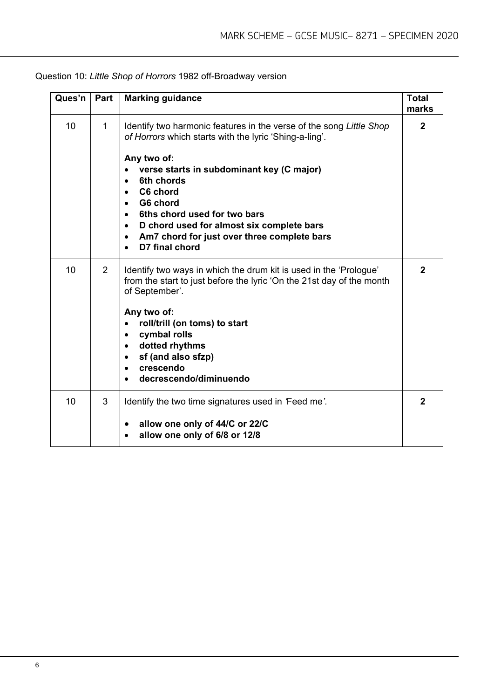| Ques'n | Part | <b>Marking guidance</b>                                                                                                                                                                                                                                                                                                                                                                                              | <b>Total</b><br>marks |
|--------|------|----------------------------------------------------------------------------------------------------------------------------------------------------------------------------------------------------------------------------------------------------------------------------------------------------------------------------------------------------------------------------------------------------------------------|-----------------------|
| 10     | 1    | Identify two harmonic features in the verse of the song Little Shop<br>of Horrors which starts with the lyric 'Shing-a-ling'.<br>Any two of:<br>verse starts in subdominant key (C major)<br>6th chords<br>C6 chord<br>$\bullet$<br>G6 chord<br>6ths chord used for two bars<br>D chord used for almost six complete bars<br>$\bullet$<br>Am7 chord for just over three complete bars<br>$\bullet$<br>D7 final chord | $\mathbf{2}$          |
| 10     | 2    | Identify two ways in which the drum kit is used in the 'Prologue'<br>from the start to just before the lyric 'On the 21st day of the month<br>of September'.<br>Any two of:<br>roll/trill (on toms) to start<br>cymbal rolls<br>$\bullet$<br>dotted rhythms<br>$\bullet$<br>sf (and also sfzp)<br>crescendo<br>$\bullet$<br>decrescendo/diminuendo                                                                   | $\mathbf{2}$          |
| 10     | 3    | Identify the two time signatures used in 'Feed me'.<br>allow one only of 44/C or 22/C<br>allow one only of 6/8 or 12/8<br>$\bullet$                                                                                                                                                                                                                                                                                  | $\mathbf{2}$          |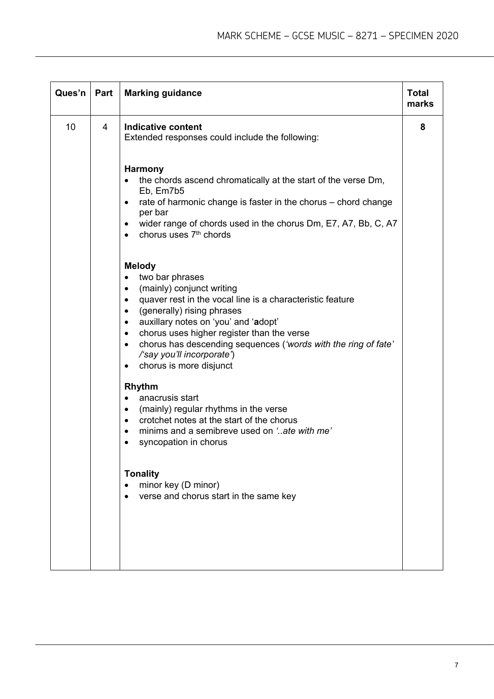| Ques'n | Part           | <b>Marking guidance</b>                                                                                                                                                                                                                                                                                                                                                                                                                                      | <b>Total</b><br>marks |
|--------|----------------|--------------------------------------------------------------------------------------------------------------------------------------------------------------------------------------------------------------------------------------------------------------------------------------------------------------------------------------------------------------------------------------------------------------------------------------------------------------|-----------------------|
| 10     | $\overline{4}$ | <b>Indicative content</b><br>Extended responses could include the following:                                                                                                                                                                                                                                                                                                                                                                                 | 8                     |
|        |                | <b>Harmony</b><br>the chords ascend chromatically at the start of the verse Dm,<br>Eb, Em7b5<br>rate of harmonic change is faster in the chorus - chord change<br>٠<br>per bar<br>wider range of chords used in the chorus Dm, E7, A7, Bb, C, A7<br>$\bullet$<br>chorus uses 7 <sup>th</sup> chords<br>$\bullet$                                                                                                                                             |                       |
|        |                | <b>Melody</b><br>two bar phrases<br>(mainly) conjunct writing<br>$\bullet$<br>quaver rest in the vocal line is a characteristic feature<br>$\bullet$<br>(generally) rising phrases<br>$\bullet$<br>auxillary notes on 'you' and 'adopt'<br>$\bullet$<br>chorus uses higher register than the verse<br>$\bullet$<br>chorus has descending sequences ('words with the ring of fate'<br>$\bullet$<br>/'say you'll incorporate')<br>chorus is more disjunct<br>٠ |                       |
|        |                | <b>Rhythm</b><br>anacrusis start<br>$\bullet$<br>(mainly) regular rhythms in the verse<br>$\bullet$<br>crotchet notes at the start of the chorus<br>$\bullet$<br>minims and a semibreve used on 'ate with me'<br>syncopation in chorus                                                                                                                                                                                                                       |                       |
|        |                | <b>Tonality</b><br>minor key (D minor)<br>verse and chorus start in the same key                                                                                                                                                                                                                                                                                                                                                                             |                       |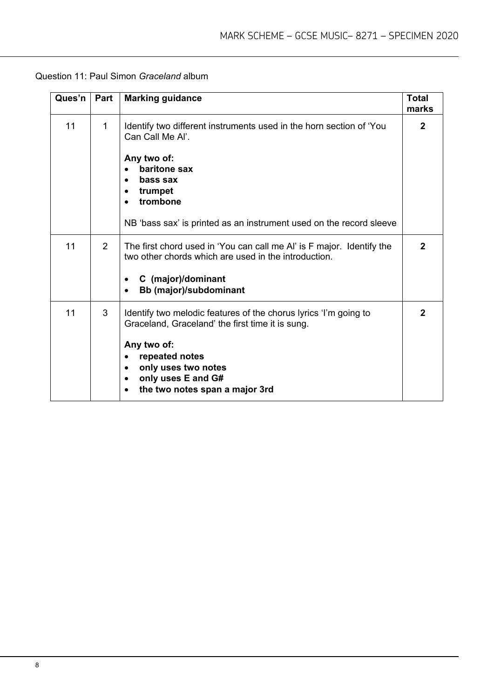| Ques'n | Part           | <b>Marking guidance</b>                                                                                                                                                                                                                                                     | <b>Total</b><br>marks |
|--------|----------------|-----------------------------------------------------------------------------------------------------------------------------------------------------------------------------------------------------------------------------------------------------------------------------|-----------------------|
| 11     | 1              | Identify two different instruments used in the horn section of 'You<br>Can Call Me Al'.<br>Any two of:<br>baritone sax<br>bass sax<br>trumpet<br>trombone                                                                                                                   | $\mathbf{2}$          |
|        |                | NB 'bass sax' is printed as an instrument used on the record sleeve                                                                                                                                                                                                         |                       |
| 11     | $\overline{2}$ | The first chord used in 'You can call me AI' is F major. Identify the<br>two other chords which are used in the introduction.<br>C (major)/dominant<br>$\bullet$<br>Bb (major)/subdominant<br>$\bullet$                                                                     | $\mathbf{2}$          |
| 11     | 3              | Identify two melodic features of the chorus lyrics 'I'm going to<br>Graceland, Graceland' the first time it is sung.<br>Any two of:<br>repeated notes<br>$\bullet$<br>only uses two notes<br>only uses E and G#<br>$\bullet$<br>the two notes span a major 3rd<br>$\bullet$ | $\mathbf{2}$          |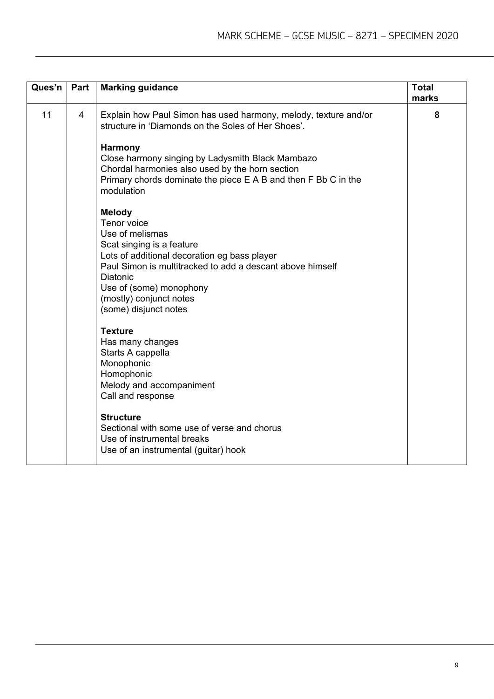| Part           | <b>Marking guidance</b>                                                                                                                                                                                                                                                                                                        | <b>Total</b><br>marks |
|----------------|--------------------------------------------------------------------------------------------------------------------------------------------------------------------------------------------------------------------------------------------------------------------------------------------------------------------------------|-----------------------|
| $\overline{4}$ | Explain how Paul Simon has used harmony, melody, texture and/or<br>structure in 'Diamonds on the Soles of Her Shoes'.<br><b>Harmony</b><br>Close harmony singing by Ladysmith Black Mambazo<br>Chordal harmonies also used by the horn section<br>Primary chords dominate the piece E A B and then F Bb C in the<br>modulation | 8                     |
|                | Tenor voice<br>Use of melismas<br>Scat singing is a feature<br>Lots of additional decoration eg bass player<br>Paul Simon is multitracked to add a descant above himself<br><b>Diatonic</b><br>Use of (some) monophony<br>(mostly) conjunct notes<br>(some) disjunct notes                                                     |                       |
|                | <b>Texture</b><br>Has many changes<br>Starts A cappella<br>Monophonic<br>Homophonic<br>Melody and accompaniment<br>Call and response<br><b>Structure</b><br>Sectional with some use of verse and chorus<br>Use of instrumental breaks<br>Use of an instrumental (guitar) hook                                                  |                       |
|                |                                                                                                                                                                                                                                                                                                                                | <b>Melody</b>         |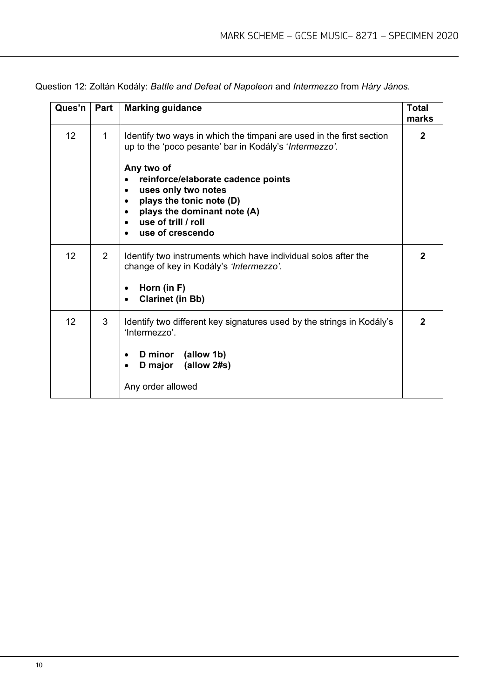Question 12: Zoltán Kodály: *Battle and Defeat of Napoleon* and *Intermezzo* from *Háry János.*

| Ques'n | Part           | <b>Marking guidance</b>                                                                                                                                                                                                                                                                                                      | Total<br>marks |
|--------|----------------|------------------------------------------------------------------------------------------------------------------------------------------------------------------------------------------------------------------------------------------------------------------------------------------------------------------------------|----------------|
| 12     | 1              | Identify two ways in which the timpani are used in the first section<br>up to the 'poco pesante' bar in Kodály's 'Intermezzo'.<br>Any two of<br>reinforce/elaborate cadence points<br>uses only two notes<br>$\bullet$<br>plays the tonic note (D)<br>plays the dominant note (A)<br>use of trill / roll<br>use of crescendo | $\mathbf{2}$   |
| 12     | $\overline{2}$ | Identify two instruments which have individual solos after the<br>change of key in Kodály's 'Intermezzo'.<br>Horn (in F)<br>$\bullet$<br><b>Clarinet (in Bb)</b>                                                                                                                                                             | 2              |
| 12     | 3              | Identify two different key signatures used by the strings in Kodály's<br>'Intermezzo'.<br>D minor (allow 1b)<br>(allow 2#s)<br><b>D</b> major<br>$\bullet$<br>Any order allowed                                                                                                                                              | 2              |